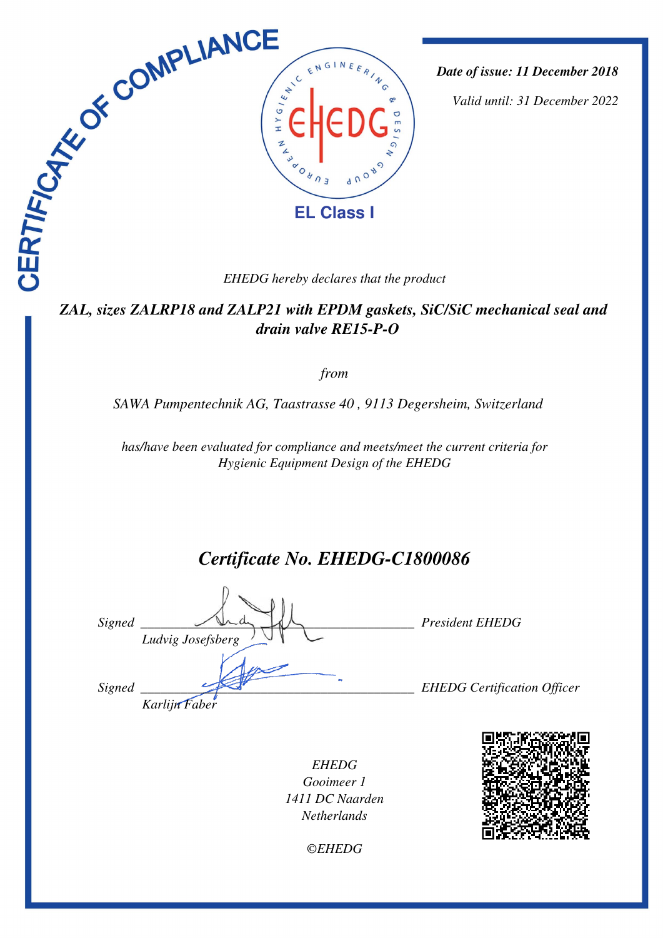

*Date of issue: 11 December 2018*

*Valid until: 31 December 2022*

## *ZAL, sizes ZALRP18 and ZALP21 with EPDM gaskets, SiC/SiC mechanical seal and drain valve RE15-P-O*

### *from*

*SAWA Pumpentechnik AG, Taastrasse 40 , 9113 Degersheim, Switzerland* 

*has/have been evaluated for compliance and meets/meet the current criteria for Hygienic Equipment Design of the EHEDG*

# *Certificate No. EHEDG-C1800086*

*Signed \_\_\_\_\_\_\_\_\_\_\_\_\_\_\_\_\_\_\_\_\_\_\_\_\_\_\_\_\_\_\_\_\_\_\_\_\_\_\_\_\_ President EHEDG Ludvig Josefsberg Signed \_\_\_\_\_\_\_\_\_\_\_\_\_\_\_\_\_\_\_\_\_\_\_\_\_\_\_\_\_\_\_\_\_\_\_\_\_\_\_\_\_ EHEDG Certification Officer Karlijn Faber*

*EHEDG Gooimeer 1 1411 DC Naarden Netherlands*



*©EHEDG*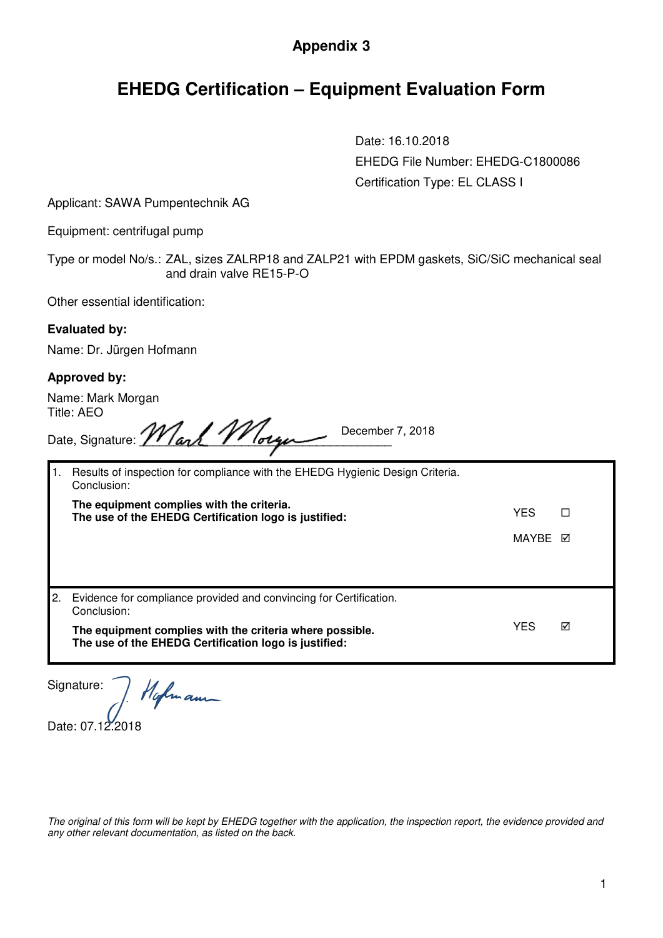## **Appendix 3**

# **EHEDG Certification – Equipment Evaluation Form**

Date: 16.10.2018 EHEDG File Number: EHEDG-C1800086 Certification Type: EL CLASS I

Applicant: SAWA Pumpentechnik AG

Equipment: centrifugal pump

Type or model No/s.: ZAL, sizes ZALRP18 and ZALP21 with EPDM gaskets, SiC/SiC mechanical seal and drain valve RE15-P-O

Other essential identification:

#### **Evaluated by:**

Name: Dr. Jürgen Hofmann

#### **Approved by:**

Name: Mark Morgan Title: AEO

| . <del>.</del> |                                    |                  |  |
|----------------|------------------------------------|------------------|--|
|                | Date, Signature: <i>Mark Morge</i> | December 7, 2018 |  |
|                |                                    |                  |  |

|     | Results of inspection for compliance with the EHEDG Hygienic Design Criteria.<br>Conclusion:                      |            |   |  |  |
|-----|-------------------------------------------------------------------------------------------------------------------|------------|---|--|--|
|     | The equipment complies with the criteria.<br>The use of the EHEDG Certification logo is justified:                | <b>YES</b> | П |  |  |
|     |                                                                                                                   | MAYRE M    |   |  |  |
|     |                                                                                                                   |            |   |  |  |
| I2. | Evidence for compliance provided and convincing for Certification.<br>Conclusion:                                 |            |   |  |  |
|     | The equipment complies with the criteria where possible.<br>The use of the EHEDG Certification logo is justified: | YES        | ☑ |  |  |

Signature: Hofmann

Date: 07.12.2018

*The original of this form will be kept by EHEDG together with the application, the inspection report, the evidence provided and any other relevant documentation, as listed on the back.*